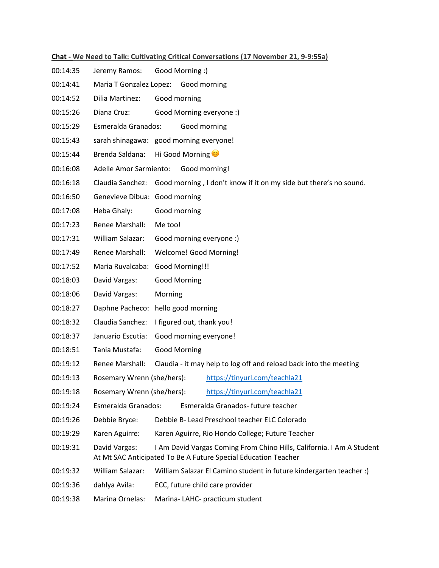## **Chat - We Need to Talk: Cultivating Critical Conversations (17 November 21, 9-9:55a)**

- 00:14:35 Jeremy Ramos: Good Morning :)
- 00:14:41 Maria T Gonzalez Lopez: Good morning
- 00:14:52 Dilia Martinez: Good morning
- 00:15:26 Diana Cruz: Good Morning everyone :)
- 00:15:29 Esmeralda Granados: Good morning
- 00:15:43 sarah shinagawa: good morning everyone!
- 00:15:44 Brenda Saldana: Hi Good Morning
- 00:16:08 Adelle Amor Sarmiento: Good morning!
- 00:16:18 Claudia Sanchez: Good morning , I don't know if it on my side but there's no sound.
- 00:16:50 Genevieve Dibua: Good morning
- 00:17:08 Heba Ghaly: Good morning
- 00:17:23 Renee Marshall: Me too!
- 00:17:31 William Salazar: Good morning everyone :)
- 00:17:49 Renee Marshall: Welcome! Good Morning!
- 00:17:52 Maria Ruvalcaba: Good Morning!!!
- 00:18:03 David Vargas: Good Morning
- 00:18:06 David Vargas: Morning
- 00:18:27 Daphne Pacheco: hello good morning
- 00:18:32 Claudia Sanchez: I figured out, thank you!
- 00:18:37 Januario Escutia: Good morning everyone!
- 00:18:51 Tania Mustafa: Good Morning
- 00:19:12 Renee Marshall: Claudia it may help to log off and reload back into the meeting
- 00:19:13 Rosemary Wrenn (she/hers): https://tinyurl.com/teachla21
- 00:19:18 Rosemary Wrenn (she/hers): https://tinyurl.com/teachla21
- 00:19:24 Esmeralda Granados: Esmeralda Granados- future teacher
- 00:19:26 Debbie Bryce: Debbie B- Lead Preschool teacher ELC Colorado
- 00:19:29 Karen Aguirre: Karen Aguirre, Rio Hondo College; Future Teacher
- 00:19:31 David Vargas: I Am David Vargas Coming From Chino Hills, California. I Am A Student At Mt SAC Anticipated To Be A Future Special Education Teacher
- 00:19:32 William Salazar: William Salazar El Camino student in future kindergarten teacher :)
- 00:19:36 dahlya Avila: ECC, future child care provider
- 00:19:38 Marina Ornelas: Marina- LAHC- practicum student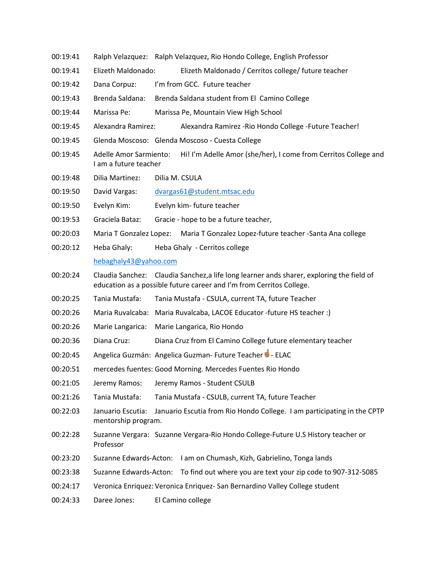- 00:19:41 Ralph Velazquez: Ralph Velazquez, Rio Hondo College, English Professor
- 00:19:41 Elizeth Maldonado: Elizeth Maldonado / Cerritos college/ future teacher
- 00:19:42 Dana Corpuz: I'm from GCC. Future teacher
- 00:19:43 Brenda Saldana: Brenda Saldana student from El Camino College
- 00:19:44 Marissa Pe: Marissa Pe, Mountain View High School
- 00:19:45 Alexandra Ramirez: Alexandra Ramirez -Rio Hondo College -Future Teacher!
- 00:19:45 Glenda Moscoso: Glenda Moscoso Cuesta College
- 00:19:45 Adelle Amor Sarmiento: Hi! I'm Adelle Amor (she/her), I come from Cerritos College and I am a future teacher
- 00:19:48 Dilia Martinez: Dilia M. CSULA
- 00:19:50 David Vargas: dvargas61@student.mtsac.edu
- 00:19:50 Evelyn Kim: Evelyn kim- future teacher
- 00:19:53 Graciela Bataz: Gracie hope to be a future teacher,
- 00:20:03 Maria T Gonzalez Lopez: Maria T Gonzalez Lopez-future teacher -Santa Ana college
- 00:20:12 Heba Ghaly: Heba Ghaly Cerritos college

## hebaghaly43@yahoo.com

- 00:20:24 Claudia Sanchez: Claudia Sanchez,a life long learner ands sharer, exploring the field of education as a possible future career and I'm from Cerritos College.
- 00:20:25 Tania Mustafa: Tania Mustafa CSULA, current TA, future Teacher
- 00:20:26 Maria Ruvalcaba: Maria Ruvalcaba, LACOE Educator -future HS teacher :)
- 00:20:26 Marie Langarica: Marie Langarica, Rio Hondo
- 00:20:36 Diana Cruz: Diana Cruz from El Camino College future elementary teacher
- 00:20:45 Angelica Guzmán: Angelica Guzman- Future Teacher<sup>1</sup> ELAC
- 00:20:51 mercedes fuentes: Good Morning. Mercedes Fuentes Rio Hondo
- 00:21:05 Jeremy Ramos: Jeremy Ramos Student CSULB
- 00:21:26 Tania Mustafa: Tania Mustafa CSULB, current TA, future Teacher
- 00:22:03 Januario Escutia: Januario Escutia from Rio Hondo College. I am participating in the CPTP mentorship program.
- 00:22:28 Suzanne Vergara: Suzanne Vergara-Rio Hondo College-Future U.S History teacher or Professor
- 00:23:20 Suzanne Edwards-Acton: I am on Chumash, Kizh, Gabrielino, Tonga lands
- 00:23:38 Suzanne Edwards-Acton: To find out where you are text your zip code to 907-312-5085
- 00:24:17 Veronica Enriquez: Veronica Enriquez- San Bernardino Valley College student
- 00:24:33 Daree Jones: El Camino college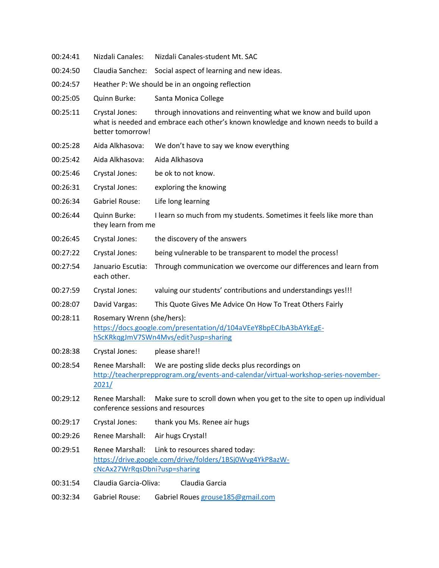| 00:24:41 | Nizdali Canales:                                                                                                                                                                            | Nizdali Canales-student Mt. SAC                                                                                                      |  |
|----------|---------------------------------------------------------------------------------------------------------------------------------------------------------------------------------------------|--------------------------------------------------------------------------------------------------------------------------------------|--|
| 00:24:50 | Claudia Sanchez:                                                                                                                                                                            | Social aspect of learning and new ideas.                                                                                             |  |
| 00:24:57 | Heather P: We should be in an ongoing reflection                                                                                                                                            |                                                                                                                                      |  |
| 00:25:05 | Quinn Burke:                                                                                                                                                                                | Santa Monica College                                                                                                                 |  |
| 00:25:11 | Crystal Jones:<br>through innovations and reinventing what we know and build upon<br>what is needed and embrace each other's known knowledge and known needs to build a<br>better tomorrow! |                                                                                                                                      |  |
| 00:25:28 | Aida Alkhasova:                                                                                                                                                                             | We don't have to say we know everything                                                                                              |  |
| 00:25:42 | Aida Alkhasova:                                                                                                                                                                             | Aida Alkhasova                                                                                                                       |  |
| 00:25:46 | Crystal Jones:                                                                                                                                                                              | be ok to not know.                                                                                                                   |  |
| 00:26:31 | Crystal Jones:                                                                                                                                                                              | exploring the knowing                                                                                                                |  |
| 00:26:34 | <b>Gabriel Rouse:</b>                                                                                                                                                                       | Life long learning                                                                                                                   |  |
| 00:26:44 | Quinn Burke:<br>I learn so much from my students. Sometimes it feels like more than<br>they learn from me                                                                                   |                                                                                                                                      |  |
| 00:26:45 | Crystal Jones:                                                                                                                                                                              | the discovery of the answers                                                                                                         |  |
| 00:27:22 | Crystal Jones:                                                                                                                                                                              | being vulnerable to be transparent to model the process!                                                                             |  |
| 00:27:54 | Januario Escutia:<br>each other.                                                                                                                                                            | Through communication we overcome our differences and learn from                                                                     |  |
| 00:27:59 | Crystal Jones:                                                                                                                                                                              | valuing our students' contributions and understandings yes!!!                                                                        |  |
| 00:28:07 | David Vargas:                                                                                                                                                                               | This Quote Gives Me Advice On How To Treat Others Fairly                                                                             |  |
| 00:28:11 | Rosemary Wrenn (she/hers):<br>https://docs.google.com/presentation/d/104aVEeY8bpECJbA3bAYkEgE-<br>hScKRkqgJmV7SWn4Mvs/edit?usp=sharing                                                      |                                                                                                                                      |  |
| 00:28:38 | Crystal Jones:                                                                                                                                                                              | please share!!                                                                                                                       |  |
| 00:28:54 | Renee Marshall:<br>2021/                                                                                                                                                                    | We are posting slide decks plus recordings on<br>http://teacherprepprogram.org/events-and-calendar/virtual-workshop-series-november- |  |
| 00:29:12 | Renee Marshall:<br>conference sessions and resources                                                                                                                                        | Make sure to scroll down when you get to the site to open up individual                                                              |  |
| 00:29:17 | Crystal Jones:                                                                                                                                                                              | thank you Ms. Renee air hugs                                                                                                         |  |
| 00:29:26 | Renee Marshall: Air hugs Crystal!                                                                                                                                                           |                                                                                                                                      |  |
| 00:29:51 | cNcAx27WrRqsDbni?usp=sharing                                                                                                                                                                | Renee Marshall: Link to resources shared today:<br>https://drive.google.com/drive/folders/1BSj0Wvg4YkP8azW-                          |  |
| 00:31:54 | Claudia Garcia-Oliva:                                                                                                                                                                       | Claudia Garcia                                                                                                                       |  |
|          |                                                                                                                                                                                             |                                                                                                                                      |  |

00:32:34 Gabriel Rouse: Gabriel Roues grouse185@gmail.com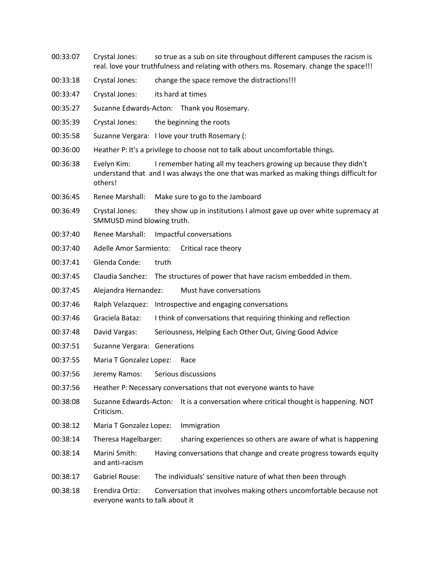- 00:33:07 Crystal Jones: so true as a sub on site throughout different campuses the racism is real. love your truthfulness and relating with others ms. Rosemary. change the space!!!
- 00:33:18 Crystal Jones: change the space remove the distractions!!!
- 00:33:47 Crystal Jones: its hard at times
- 00:35:27 Suzanne Edwards-Acton: Thank you Rosemary.
- 00:35:39 Crystal Jones: the beginning the roots
- 00:35:58 Suzanne Vergara: I love your truth Rosemary (:
- 00:36:00 Heather P: It's a privilege to choose not to talk about uncomfortable things.
- 00:36:38 Evelyn Kim: I remember hating all my teachers growing up because they didn't understand that and I was always the one that was marked as making things difficult for others!
- 00:36:45 Renee Marshall: Make sure to go to the Jamboard
- 00:36:49 Crystal Jones: they show up in institutions I almost gave up over white supremacy at SMMUSD mind blowing truth.
- 00:37:40 Renee Marshall: Impactful conversations
- 00:37:40 Adelle Amor Sarmiento: Critical race theory
- 00:37:41 Glenda Conde: truth
- 00:37:45 Claudia Sanchez: The structures of power that have racism embedded in them.
- 00:37:45 Alejandra Hernandez: Must have conversations
- 00:37:46 Ralph Velazquez: Introspective and engaging conversations
- 00:37:46 Graciela Bataz: I think of conversations that requiring thinking and reflection
- 00:37:48 David Vargas: Seriousness, Helping Each Other Out, Giving Good Advice
- 00:37:51 Suzanne Vergara: Generations
- 00:37:55 Maria T Gonzalez Lopez: Race
- 00:37:56 Jeremy Ramos: Serious discussions
- 00:37:56 Heather P: Necessary conversations that not everyone wants to have
- 00:38:08 Suzanne Edwards-Acton: It is a conversation where critical thought is happening. NOT Criticism.
- 00:38:12 Maria T Gonzalez Lopez: Immigration
- 00:38:14 Theresa Hagelbarger: sharing experiences so others are aware of what is happening
- 00:38:14 Marini Smith: Having conversations that change and create progress towards equity and anti-racism
- 00:38:17 Gabriel Rouse: The individuals' sensitive nature of what then been through
- 00:38:18 Erendira Ortiz: Conversation that involves making others uncomfortable because not everyone wants to talk about it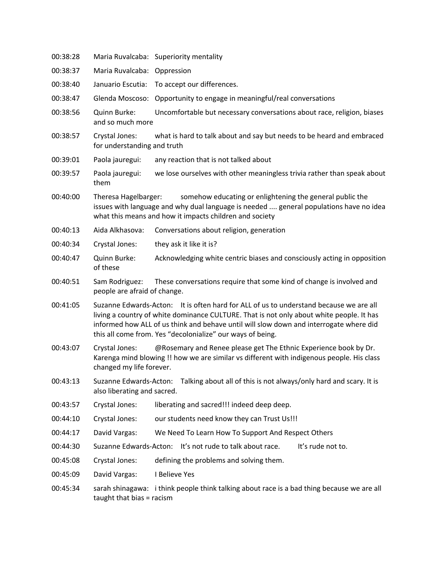| 00:38:28 |                                                                                                                                                                                                                                                                                                                                            | Maria Ruvalcaba: Superiority mentality                                                                                                                        |  |
|----------|--------------------------------------------------------------------------------------------------------------------------------------------------------------------------------------------------------------------------------------------------------------------------------------------------------------------------------------------|---------------------------------------------------------------------------------------------------------------------------------------------------------------|--|
| 00:38:37 | Maria Ruvalcaba:                                                                                                                                                                                                                                                                                                                           | Oppression                                                                                                                                                    |  |
| 00:38:40 | Januario Escutia:                                                                                                                                                                                                                                                                                                                          | To accept our differences.                                                                                                                                    |  |
| 00:38:47 | Glenda Moscoso:                                                                                                                                                                                                                                                                                                                            | Opportunity to engage in meaningful/real conversations                                                                                                        |  |
| 00:38:56 | Quinn Burke:<br>and so much more                                                                                                                                                                                                                                                                                                           | Uncomfortable but necessary conversations about race, religion, biases                                                                                        |  |
| 00:38:57 | Crystal Jones:<br>what is hard to talk about and say but needs to be heard and embraced<br>for understanding and truth                                                                                                                                                                                                                     |                                                                                                                                                               |  |
| 00:39:01 | Paola jauregui:                                                                                                                                                                                                                                                                                                                            | any reaction that is not talked about                                                                                                                         |  |
| 00:39:57 | Paola jauregui:<br>them                                                                                                                                                                                                                                                                                                                    | we lose ourselves with other meaningless trivia rather than speak about                                                                                       |  |
| 00:40:00 | Theresa Hagelbarger:<br>somehow educating or enlightening the general public the<br>issues with language and why dual language is needed  general populations have no idea<br>what this means and how it impacts children and society                                                                                                      |                                                                                                                                                               |  |
| 00:40:13 | Aida Alkhasova:                                                                                                                                                                                                                                                                                                                            | Conversations about religion, generation                                                                                                                      |  |
| 00:40:34 | Crystal Jones:                                                                                                                                                                                                                                                                                                                             | they ask it like it is?                                                                                                                                       |  |
| 00:40:47 | Quinn Burke:<br>of these                                                                                                                                                                                                                                                                                                                   | Acknowledging white centric biases and consciously acting in opposition                                                                                       |  |
| 00:40:51 | Sam Rodriguez:<br>people are afraid of change.                                                                                                                                                                                                                                                                                             | These conversations require that some kind of change is involved and                                                                                          |  |
| 00:41:05 | Suzanne Edwards-Acton: It is often hard for ALL of us to understand because we are all<br>living a country of white dominance CULTURE. That is not only about white people. It has<br>informed how ALL of us think and behave until will slow down and interrogate where did<br>this all come from. Yes "decolonialize" our ways of being. |                                                                                                                                                               |  |
| 00:43:07 | Crystal Jones:<br>changed my life forever.                                                                                                                                                                                                                                                                                                 | @Rosemary and Renee please get The Ethnic Experience book by Dr.<br>Karenga mind blowing !! how we are similar vs different with indigenous people. His class |  |
| 00:43:13 | Suzanne Edwards-Acton: Talking about all of this is not always/only hard and scary. It is<br>also liberating and sacred.                                                                                                                                                                                                                   |                                                                                                                                                               |  |
| 00:43:57 | Crystal Jones:                                                                                                                                                                                                                                                                                                                             | liberating and sacred!!! indeed deep deep.                                                                                                                    |  |
| 00:44:10 | Crystal Jones:                                                                                                                                                                                                                                                                                                                             | our students need know they can Trust Us!!!                                                                                                                   |  |
| 00:44:17 | David Vargas:                                                                                                                                                                                                                                                                                                                              | We Need To Learn How To Support And Respect Others                                                                                                            |  |
| 00:44:30 |                                                                                                                                                                                                                                                                                                                                            | It's rude not to.<br>Suzanne Edwards-Acton: It's not rude to talk about race.                                                                                 |  |
| 00:45:08 | Crystal Jones:                                                                                                                                                                                                                                                                                                                             | defining the problems and solving them.                                                                                                                       |  |
| 00:45:09 | David Vargas:                                                                                                                                                                                                                                                                                                                              | I Believe Yes                                                                                                                                                 |  |
| 00:45:34 | taught that bias = racism                                                                                                                                                                                                                                                                                                                  | sarah shinagawa: i think people think talking about race is a bad thing because we are all                                                                    |  |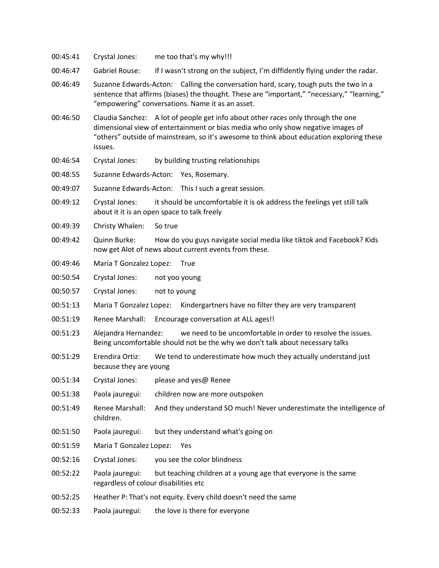- 00:45:41 Crystal Jones: me too that's my why!!!
- 00:46:47 Gabriel Rouse: If I wasn't strong on the subject, I'm diffidently flying under the radar.
- 00:46:49 Suzanne Edwards-Acton: Calling the conversation hard, scary, tough puts the two in a sentence that affirms (biases) the thought. These are "important," "necessary," "learning," "empowering" conversations. Name it as an asset.
- 00:46:50 Claudia Sanchez: A lot of people get info about other races only through the one dimensional view of entertainment or bias media who only show negative images of "others" outside of mainstream, so it's awesome to think about education exploring these issues.
- 00:46:54 Crystal Jones: by building trusting relationships
- 00:48:55 Suzanne Edwards-Acton: Yes, Rosemary.
- 00:49:07 Suzanne Edwards-Acton: This I such a great session.
- 00:49:12 Crystal Jones: it should be uncomfortable it is ok address the feelings yet still talk about it it is an open space to talk freely
- 00:49:39 Christy Whalen: So true
- 00:49:42 Quinn Burke: How do you guys navigate social media like tiktok and Facebook? Kids now get Alot of news about current events from these.
- 00:49:46 Maria T Gonzalez Lopez: True
- 00:50:54 Crystal Jones: not yoo young
- 00:50:57 Crystal Jones: not to young
- 00:51:13 Maria T Gonzalez Lopez: Kindergartners have no filter they are very transparent
- 00:51:19 Renee Marshall: Encourage conversation at ALL ages!!
- 00:51:23 Alejandra Hernandez: we need to be uncomfortable in order to resolve the issues. Being uncomfortable should not be the why we don't talk about necessary talks
- 00:51:29 Erendira Ortiz: We tend to underestimate how much they actually understand just because they are young
- 00:51:34 Crystal Jones: please and yes@ Renee
- 00:51:38 Paola jauregui: children now are more outspoken
- 00:51:49 Renee Marshall: And they understand SO much! Never underestimate the intelligence of children.
- 00:51:50 Paola jauregui: but they understand what's going on
- 00:51:59 Maria T Gonzalez Lopez: Yes
- 00:52:16 Crystal Jones: you see the color blindness
- 00:52:22 Paola jauregui: but teaching children at a young age that everyone is the same regardless of colour disabilities etc
- 00:52:25 Heather P: That's not equity. Every child doesn't need the same
- 00:52:33 Paola jauregui: the love is there for everyone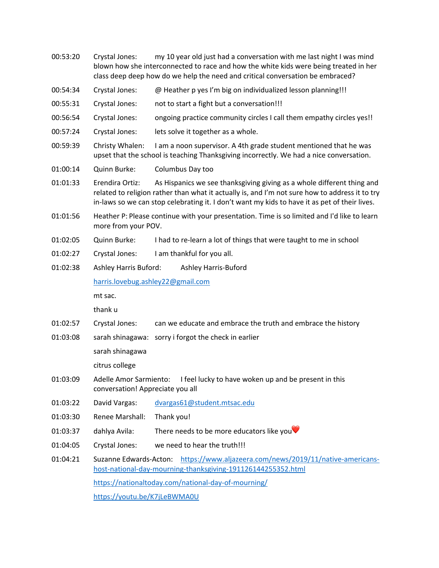| 00:53:20 | Crystal Jones:                                                                                                                                                                  | my 10 year old just had a conversation with me last night I was mind<br>blown how she interconnected to race and how the white kids were being treated in her<br>class deep deep how do we help the need and critical conversation be embraced?                           |  |
|----------|---------------------------------------------------------------------------------------------------------------------------------------------------------------------------------|---------------------------------------------------------------------------------------------------------------------------------------------------------------------------------------------------------------------------------------------------------------------------|--|
| 00:54:34 | Crystal Jones:                                                                                                                                                                  | @ Heather p yes I'm big on individualized lesson planning!!!                                                                                                                                                                                                              |  |
| 00:55:31 | Crystal Jones:                                                                                                                                                                  | not to start a fight but a conversation!!!                                                                                                                                                                                                                                |  |
| 00:56:54 | Crystal Jones:                                                                                                                                                                  | ongoing practice community circles I call them empathy circles yes!!                                                                                                                                                                                                      |  |
| 00:57:24 | Crystal Jones:                                                                                                                                                                  | lets solve it together as a whole.                                                                                                                                                                                                                                        |  |
| 00:59:39 | Christy Whalen:<br>I am a noon supervisor. A 4th grade student mentioned that he was<br>upset that the school is teaching Thanksgiving incorrectly. We had a nice conversation. |                                                                                                                                                                                                                                                                           |  |
| 01:00:14 | Quinn Burke:                                                                                                                                                                    | Columbus Day too                                                                                                                                                                                                                                                          |  |
| 01:01:33 | Erendira Ortiz:                                                                                                                                                                 | As Hispanics we see thanksgiving giving as a whole different thing and<br>related to religion rather than what it actually is, and I'm not sure how to address it to try<br>in-laws so we can stop celebrating it. I don't want my kids to have it as pet of their lives. |  |
| 01:01:56 | Heather P: Please continue with your presentation. Time is so limited and I'd like to learn<br>more from your POV.                                                              |                                                                                                                                                                                                                                                                           |  |
| 01:02:05 | Quinn Burke:                                                                                                                                                                    | I had to re-learn a lot of things that were taught to me in school                                                                                                                                                                                                        |  |
| 01:02:27 | Crystal Jones:                                                                                                                                                                  | I am thankful for you all.                                                                                                                                                                                                                                                |  |
| 01:02:38 | Ashley Harris Buford:<br>Ashley Harris-Buford                                                                                                                                   |                                                                                                                                                                                                                                                                           |  |
|          | harris.lovebug.ashley22@gmail.com                                                                                                                                               |                                                                                                                                                                                                                                                                           |  |
|          | mt sac.                                                                                                                                                                         |                                                                                                                                                                                                                                                                           |  |
|          | thank u                                                                                                                                                                         |                                                                                                                                                                                                                                                                           |  |
| 01:02:57 | Crystal Jones:                                                                                                                                                                  | can we educate and embrace the truth and embrace the history                                                                                                                                                                                                              |  |
| 01:03:08 | sarah shinagawa:                                                                                                                                                                | sorry i forgot the check in earlier                                                                                                                                                                                                                                       |  |
|          | sarah shinagawa                                                                                                                                                                 |                                                                                                                                                                                                                                                                           |  |
|          | citrus college                                                                                                                                                                  |                                                                                                                                                                                                                                                                           |  |
| 01:03:09 | Adelle Amor Sarmiento: I feel lucky to have woken up and be present in this<br>conversation! Appreciate you all                                                                 |                                                                                                                                                                                                                                                                           |  |
| 01:03:22 | David Vargas:                                                                                                                                                                   | dvargas61@student.mtsac.edu                                                                                                                                                                                                                                               |  |
| 01:03:30 | Renee Marshall:                                                                                                                                                                 | Thank you!                                                                                                                                                                                                                                                                |  |
| 01:03:37 | dahlya Avila:                                                                                                                                                                   | There needs to be more educators like you $\blacktriangledown$                                                                                                                                                                                                            |  |
| 01:04:05 | Crystal Jones:                                                                                                                                                                  | we need to hear the truth!!!                                                                                                                                                                                                                                              |  |
| 01:04:21 | https://www.aljazeera.com/news/2019/11/native-americans-<br>Suzanne Edwards-Acton:<br>host-national-day-mourning-thanksgiving-191126144255352.html                              |                                                                                                                                                                                                                                                                           |  |
|          | https://nationaltoday.com/national-day-of-mourning/                                                                                                                             |                                                                                                                                                                                                                                                                           |  |
|          | https://youtu.be/K7jLeBWMA0U                                                                                                                                                    |                                                                                                                                                                                                                                                                           |  |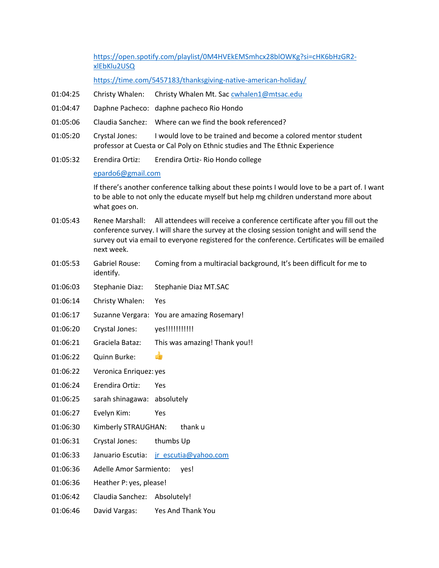https://open.spotify.com/playlist/0M4HVEkEMSmhcx28blOWKg?si=cHK6bHzGR2 xlEbKlu2USQ

https://time.com/5457183/thanksgiving-native-american-holiday/

- 01:04:25 Christy Whalen: Christy Whalen Mt. Sac cwhalen1@mtsac.edu
- 01:04:47 Daphne Pacheco: daphne pacheco Rio Hondo
- 01:05:06 Claudia Sanchez: Where can we find the book referenced?
- 01:05:20 Crystal Jones: I would love to be trained and become a colored mentor student professor at Cuesta or Cal Poly on Ethnic studies and The Ethnic Experience
- 01:05:32 Erendira Ortiz: Erendira Ortiz- Rio Hondo college

## epardo6@gmail.com

If there's another conference talking about these points I would love to be a part of. I want to be able to not only the educate myself but help mg children understand more about what goes on.

- 01:05:43 Renee Marshall: All attendees will receive a conference certificate after you fill out the conference survey. I will share the survey at the closing session tonight and will send the survey out via email to everyone registered for the conference. Certificates will be emailed next week.
- 01:05:53 Gabriel Rouse: Coming from a multiracial background, It's been difficult for me to identify.
- 01:06:03 Stephanie Diaz: Stephanie Diaz MT.SAC
- 01:06:14 Christy Whalen: Yes
- 01:06:17 Suzanne Vergara: You are amazing Rosemary!
- 01:06:20 Crystal Jones: yes!!!!!!!!!!!!!
- 01:06:21 Graciela Bataz: This was amazing! Thank you!!
- 01:06:22 Quinn Burke:
- 01:06:22 Veronica Enriquez: yes
- 01:06:24 Erendira Ortiz: Yes
- 01:06:25 sarah shinagawa: absolutely
- 01:06:27 Evelyn Kim: Yes
- 01:06:30 Kimberly STRAUGHAN: thank u
- 01:06:31 Crystal Jones: thumbs Up
- 01:06:33 Januario Escutia: jr\_escutia@yahoo.com
- 01:06:36 Adelle Amor Sarmiento: yes!
- 01:06:36 Heather P: yes, please!
- 01:06:42 Claudia Sanchez: Absolutely!
- 01:06:46 David Vargas: Yes And Thank You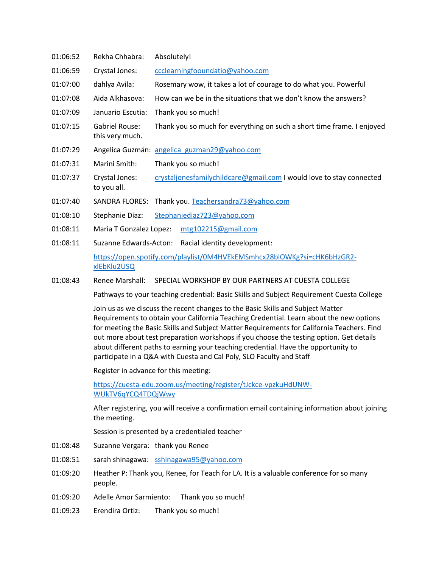| 01:06:52 | Rekha Chhabra:                    | Absolutely!                                                            |
|----------|-----------------------------------|------------------------------------------------------------------------|
| 01:06:59 | Crystal Jones:                    | ccclearningfooundatio@yahoo.com                                        |
| 01:07:00 | dahlya Avila:                     | Rosemary wow, it takes a lot of courage to do what you. Powerful       |
| 01:07:08 | Aida Alkhasova:                   | How can we be in the situations that we don't know the answers?        |
| 01:07:09 | Januario Escutia:                 | Thank you so much!                                                     |
| 01:07:15 | Gabriel Rouse:<br>this very much. | Thank you so much for everything on such a short time frame. I enjoyed |
| 01:07:29 |                                   | Angelica Guzmán: angelica guzman29@yahoo.com                           |
| 01:07:31 | Marini Smith:                     | Thank you so much!                                                     |
| 01:07:37 | Crystal Jones:<br>to you all.     | crystaljonesfamilychildcare@gmail.com I would love to stay connected   |
| 01:07:40 | SANDRA FLORES:                    | Thank you. Teachersandra73@yahoo.com                                   |
| 01:08:10 | Stephanie Diaz:                   | Stephaniediaz723@yahoo.com                                             |
| 01:08:11 | Maria T Gonzalez Lopez:           | mtg102215@gmail.com                                                    |

01:08:11 Suzanne Edwards-Acton: Racial identity development:

https://open.spotify.com/playlist/0M4HVEkEMSmhcx28blOWKg?si=cHK6bHzGR2 xlEbKlu2USQ

01:08:43 Renee Marshall: SPECIAL WORKSHOP BY OUR PARTNERS AT CUESTA COLLEGE

Pathways to your teaching credential: Basic Skills and Subject Requirement Cuesta College

Join us as we discuss the recent changes to the Basic Skills and Subject Matter Requirements to obtain your California Teaching Credential. Learn about the new options for meeting the Basic Skills and Subject Matter Requirements for California Teachers. Find out more about test preparation workshops if you choose the testing option. Get details about different paths to earning your teaching credential. Have the opportunity to participate in a Q&A with Cuesta and Cal Poly, SLO Faculty and Staff

Register in advance for this meeting:

https://cuesta-edu.zoom.us/meeting/register/tJckce-vpzkuHdUNW-WUkTV6qYCQ4TDQjWwy

After registering, you will receive a confirmation email containing information about joining the meeting.

Session is presented by a credentialed teacher

- 01:08:48 Suzanne Vergara: thank you Renee
- 01:08:51 sarah shinagawa: sshinagawa95@yahoo.com
- 01:09:20 Heather P: Thank you, Renee, for Teach for LA. It is a valuable conference for so many people.
- 01:09:20 Adelle Amor Sarmiento: Thank you so much!
- 01:09:23 Erendira Ortiz: Thank you so much!